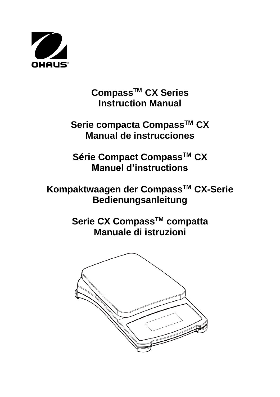

**CompassTM CX Series Instruction Manual**

**Serie compacta CompassTM CX Manual de instrucciones**

**Série Compact CompassTM CX Manuel d'instructions**

**Kompaktwaagen der CompassTM CX-Serie Bedienungsanleitung**

> **Serie CX CompassTM compatta Manuale di istruzioni**

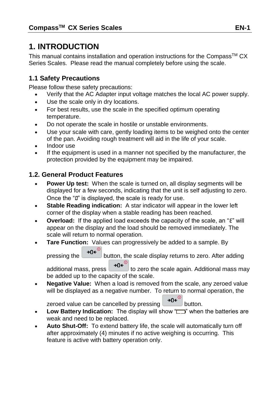# **1. INTRODUCTION**

This manual contains installation and operation instructions for the Compass<sup>TM</sup> CX Series Scales. Please read the manual completely before using the scale.

### **1.1 Safety Precautions**

Please follow these safety precautions:

- Verify that the AC Adapter input voltage matches the local AC power supply.
- Use the scale only in dry locations.
- For best results, use the scale in the specified optimum operating temperature.
- Do not operate the scale in hostile or unstable environments.
- Use your scale with care, gently loading items to be weighed onto the center of the pan. Avoiding rough treatment will aid in the life of your scale.
- Indoor use
- If the equipment is used in a manner not specified by the manufacturer, the protection provided by the equipment may be impaired.

### **1.2. General Product Features**

- **Power Up test:** When the scale is turned on, all display segments will be displayed for a few seconds, indicating that the unit is self adjusting to zero. Once the "0" is displayed, the scale is ready for use.
- **Stable Reading indication:** A star indicator will appear in the lower left corner of the display when a stable reading has been reached.
- **Overload:** If the applied load exceeds the capacity of the scale, an "E" will appear on the display and the load should be removed immediately. The scale will return to normal operation.
- **Tare Function:** Values can progressively be added to a sample. By

pressing the  $\rightarrow 0e^{i\theta}$  button, the scale display returns to zero. After adding additional mass, press  $\rightarrow 0e^{i\omega}$  to zero the scale again. Additional mass may

be added up to the capacity of the scale.

 **Negative Value:** When a load is removed from the scale, any zeroed value will be displayed as a negative number. To return to normal operation, the

zeroed value can be cancelled by pressing  $\rightarrow 0 \leftarrow \infty$  button.

- **Low Battery Indication:** The display will show " $\Box$ " when the batteries are weak and need to be replaced.
- **Auto Shut-Off:** To extend battery life, the scale will automatically turn off after approximately (4) minutes if no active weighing is occurring. This feature is active with battery operation only.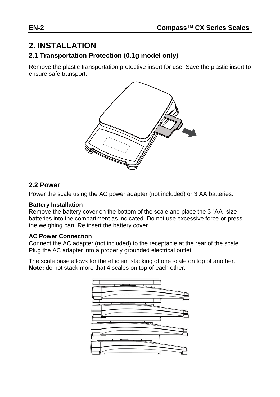# **2. INSTALLATION**

### **2.1 Transportation Protection (0.1g model only)**

Remove the plastic transportation protective insert for use. Save the plastic insert to ensure safe transport.



### **2.2 Power**

Power the scale using the AC power adapter (not included) or 3 AA batteries.

#### **Battery Installation**

Remove the battery cover on the bottom of the scale and place the 3 "AA" size batteries into the compartment as indicated. Do not use excessive force or press the weighing pan. Re insert the battery cover.

#### **AC Power Connection**

Connect the AC adapter (not included) to the receptacle at the rear of the scale. Plug the AC adapter into a properly grounded electrical outlet.

The scale base allows for the efficient stacking of one scale on top of another. **Note:** do not stack more that 4 scales on top of each other.

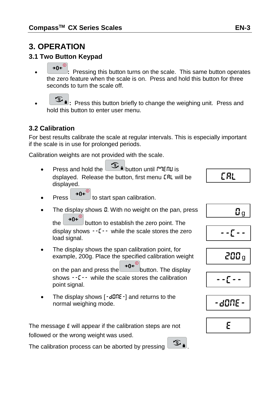# **3. OPERATION**

### **3.1 Two Button Keypad**

- $\overline{20}$  **:** Pressing this button turns on the scale. This same button operates the zero feature when the scale is on. Press and hold this button for three seconds to turn the scale off.
- $\mathcal{F}_{\mathbf{a}}$ : Press this button briefly to change the weighing unit. Press and hold this button to enter user menu.

### **3.2 Calibration**

load signal.

point signal.

normal weighing mode.

For best results calibrate the scale at regular intervals. This is especially important if the scale is in use for prolonged periods.

Calibration weights are not provided with the scale.

Press and hold the  $\sqrt{2}$  **button until Menu** is dsplayed. Release the button, first menu LRL will be displayed. Press  $\left( \rightarrow 0 \leftarrow \right)$  to start span calibration.

 The display shows the span calibration point, for example, 200g. Place the specified calibration weight on the pan and press the  $\rightarrow 0$ . button. The display shows --C-- while the scale stores the calibration

The display shows  $0$ . With no weight on the pan, press the  $\rightarrow 0^{\leftarrow}$  button to establish the zero point. The display shows  $-f -$  while the scale stores the zero

$$
\boxed{\text{CR}}
$$

$$
\overline{\phantom{0}\mathbf{0}_g}
$$

$$
- - \sum_{i=1}^{n} \frac{1}{i} = -
$$

$$
200\,\mathrm{g}
$$





e



• The display shows  $[-d\overline{0}RE-]$  and returns to the

The calibration process can be aborted by pressing  $\circ$ 

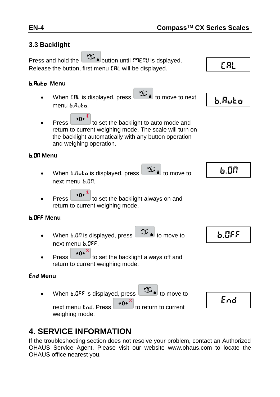### **3.3 Backlight**

Press and hold the **DE** button until  $P$ **TENU** is dsplayed. Release the button, first menu **CRL** will be displayed.

#### b.Auto **Menu**

- When CRL is displayed, press  $\overline{u}$  id move to next menu b.Auto.
- Press  $\rightarrow 0^{\leftarrow}$  to set the backlight to auto mode and return to current weighing mode. The scale will turn on the backlight automatically with any button operation and weighing operation.

#### b.ON **Menu**

- When **b.Ruto** is displayed, press to move to next menu b.ON.
	-
- Press  $\rightarrow 0^{\infty}$  to set the backlight always on and return to current weighing mode.

#### b.OFF **Menu**

- When  $b.00$  is displayed, press  $\overline{\mathcal{F}_{b}}$  to move to next menu b.OFF.
- Press  $\rightarrow 0^{\leftarrow}$  to set the backlight always off and return to current weighing mode.

#### End **Menu**

When  $b.$  OFF is displayed, press  $\boxed{3}$  to move to

End

next menu End. Press  $\theta$  +0<sup> $\epsilon$ <sup>0</sup> to return to current</sup> weighing mode.

# **4. SERVICE INFORMATION**

If the troubleshooting section does not resolve your problem, contact an Authorized OHAUS Service Agent. Please visit our website www.ohaus.com to locate the OHAUS office nearest you.





b.OFF

CAL

b.Auto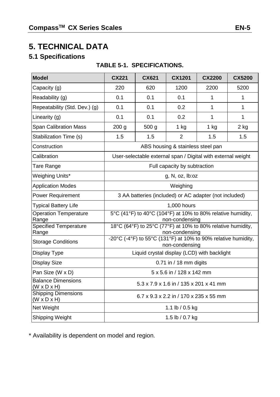# **5. TECHNICAL DATA**

# **5.1 Specifications**

### **TABLE 5-1. SPECIFICATIONS.**

| Model                                                 | <b>CX221</b>                                                                  | CX621                                                         | <b>CX1201</b>                          | <b>CX2200</b> | <b>CX5200</b> |  |
|-------------------------------------------------------|-------------------------------------------------------------------------------|---------------------------------------------------------------|----------------------------------------|---------------|---------------|--|
| Capacity (g)                                          | 220                                                                           | 620                                                           | 1200                                   | 2200          | 5200          |  |
| Readability (g)                                       | 0.1                                                                           | 0.1                                                           | 0.1                                    | 1             | 1             |  |
| Repeatability (Std. Dev.) (g)                         | 0.1                                                                           | 0.1                                                           | 0.2                                    | 1             | $\mathbf{1}$  |  |
| Linearity (g)                                         | 0.1                                                                           | 0.1                                                           | 0.2                                    | 1             | $\mathbf{1}$  |  |
| <b>Span Calibration Mass</b>                          | 200 <sub>g</sub>                                                              | 500 <sub>g</sub>                                              | $1$ kg                                 | $1$ kg        | $2$ kg        |  |
| Stabilization Time (s)                                | 1.5                                                                           | 1.5                                                           | $\overline{2}$                         | 1.5           | 1.5           |  |
| Construction                                          |                                                                               |                                                               | ABS housing & stainless steel pan      |               |               |  |
| Calibration                                           |                                                                               | User-selectable external span / Digital with external weight  |                                        |               |               |  |
| Tare Range                                            |                                                                               |                                                               | Full capacity by subtraction           |               |               |  |
| Weighing Units*                                       | g, N, oz, lb: oz                                                              |                                                               |                                        |               |               |  |
| <b>Application Modes</b>                              | Weighing                                                                      |                                                               |                                        |               |               |  |
| Power Requirement                                     | 3 AA batteries (included) or AC adapter (not included)                        |                                                               |                                        |               |               |  |
| <b>Typical Battery Life</b>                           | 1,000 hours                                                                   |                                                               |                                        |               |               |  |
| <b>Operation Temperature</b><br>Range                 | 5°C (41°F) to 40°C (104°F) at 10% to 80% relative humidity,<br>non-condensing |                                                               |                                        |               |               |  |
| Specified Temperature<br>Range                        | 18°C (64°F) to 25°C (77°F) at 10% to 80% relative humidity,<br>non-condensing |                                                               |                                        |               |               |  |
| <b>Storage Conditions</b>                             |                                                                               | -20°C (-4°F) to 55°C (131°F) at 10% to 90% relative humidity, | non-condensing                         |               |               |  |
| Display Type                                          |                                                                               | Liquid crystal display (LCD) with backlight                   |                                        |               |               |  |
| Display Size                                          |                                                                               |                                                               | 0.71 in / 18 mm digits                 |               |               |  |
| Pan Size (W x D)                                      | 5 x 5.6 in / 128 x 142 mm                                                     |                                                               |                                        |               |               |  |
| <b>Balance Dimensions</b><br>$(W \times D \times H)$  |                                                                               |                                                               | 5.3 x 7.9 x 1.6 in / 135 x 201 x 41 mm |               |               |  |
| <b>Shipping Dimensions</b><br>$(W \times D \times H)$ | 6.7 x 9.3 x 2.2 in / 170 x 235 x 55 mm                                        |                                                               |                                        |               |               |  |
| Net Weight                                            |                                                                               |                                                               | 1.1 lb / $0.5$ kg                      |               |               |  |
| Shipping Weight                                       | 1.5 lb / 0.7 kg                                                               |                                                               |                                        |               |               |  |

\* Availability is dependent on model and region.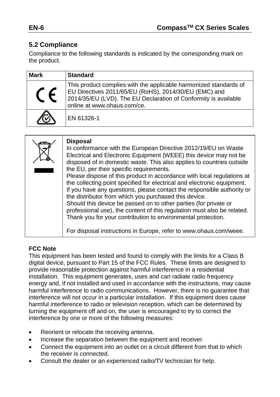# **5.2 Compliance**

Compliance to the following standards is indicated by the corresponding mark on the product.

| <b>Mark</b> | <b>Standard</b>                                                                                                                                                                                                              |
|-------------|------------------------------------------------------------------------------------------------------------------------------------------------------------------------------------------------------------------------------|
|             | This product complies with the applicable harmonized standards of<br>EU Directives 2011/65/EU (RoHS), 2014/30/EU (EMC) and<br>2014/35/EU (LVD). The EU Declaration of Conformity is available<br>online at www.ohaus.com/ce. |
|             | EN 61326-1                                                                                                                                                                                                                   |

| <b>Disposal</b><br>In conformance with the European Directive 2012/19/EU on Waste<br>Electrical and Electronic Equipment (WEEE) this device may not be<br>disposed of in domestic waste. This also applies to countries outside<br>the EU, per their specific requirements.<br>Please dispose of this product in accordance with local regulations at<br>the collecting point specified for electrical and electronic equipment.<br>If you have any questions, please contact the responsible authority or<br>the distributor from which you purchased this device.<br>Should this device be passed on to other parties (for private or<br>professional use), the content of this regulation must also be related.<br>Thank you for your contribution to environmental protection. |
|------------------------------------------------------------------------------------------------------------------------------------------------------------------------------------------------------------------------------------------------------------------------------------------------------------------------------------------------------------------------------------------------------------------------------------------------------------------------------------------------------------------------------------------------------------------------------------------------------------------------------------------------------------------------------------------------------------------------------------------------------------------------------------|
| For disposal instructions in Europe, refer to www.ohaus.com/weee.                                                                                                                                                                                                                                                                                                                                                                                                                                                                                                                                                                                                                                                                                                                  |

#### **FCC Note**

This equipment has been tested and found to comply with the limits for a Class B digital device, pursuant to Part 15 of the FCC Rules. These limits are designed to provide reasonable protection against harmful interference in a residential installation. This equipment generates, uses and can radiate radio frequency energy and, if not installed and used in accordance with the instructions, may cause harmful interference to radio communications. However, there is no guarantee that interference will not occur in a particular installation. If this equipment does cause harmful interference to radio or television reception, which can be determined by turning the equipment off and on, the user is encouraged to try to correct the interference by one or more of the following measures:

- Reorient or relocate the receiving antenna.
- Increase the separation between the equipment and receiver.
- Connect the equipment into an outlet on a circuit different from that to which the receiver is connected.
- Consult the dealer or an experienced radio/TV technician for help.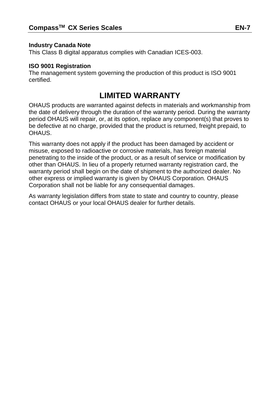#### **Industry Canada Note**

This Class B digital apparatus complies with Canadian ICES-003.

#### **ISO 9001 Registration**

The management system governing the production of this product is ISO 9001 certified.

# **LIMITED WARRANTY**

OHAUS products are warranted against defects in materials and workmanship from the date of delivery through the duration of the warranty period. During the warranty period OHAUS will repair, or, at its option, replace any component(s) that proves to be defective at no charge, provided that the product is returned, freight prepaid, to OHAUS.

This warranty does not apply if the product has been damaged by accident or misuse, exposed to radioactive or corrosive materials, has foreign material penetrating to the inside of the product, or as a result of service or modification by other than OHAUS. In lieu of a properly returned warranty registration card, the warranty period shall begin on the date of shipment to the authorized dealer. No other express or implied warranty is given by OHAUS Corporation. OHAUS Corporation shall not be liable for any consequential damages.

As warranty legislation differs from state to state and country to country, please contact OHAUS or your local OHAUS dealer for further details.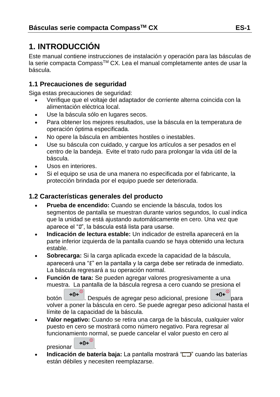# **1. INTRODUCCIÓN**

Este manual contiene instrucciones de instalación y operación para las básculas de la serie compacta CompassTM CX. Lea el manual completamente antes de usar la báscula.

### **1.1 Precauciones de seguridad**

Siga estas precauciones de seguridad:

- Verifique que el voltaje del adaptador de corriente alterna coincida con la alimentación eléctrica local.
- Use la báscula sólo en lugares secos.
- Para obtener los mejores resultados, use la báscula en la temperatura de operación óptima especificada.
- No opere la báscula en ambientes hostiles o inestables.
- Use su báscula con cuidado, y cargue los artículos a ser pesados en el centro de la bandeja. Evite el trato rudo para prolongar la vida útil de la báscula.
- Usos en interiores.
- Si el equipo se usa de una manera no especificada por el fabricante, la protección brindada por el equipo puede ser deteriorada.

# **1.2 Características generales del producto**

- **Prueba de encendido:** Cuando se enciende la báscula, todos los segmentos de pantalla se muestran durante varios segundos, lo cual indica que la unidad se está ajustando automáticamente en cero. Una vez que aparece el "0", la báscula está lista para usarse.
- **Indicación de lectura estable:** Un indicador de estrella aparecerá en la parte inferior izquierda de la pantalla cuando se haya obtenido una lectura estable.
- **Sobrecarga:** Si la carga aplicada excede la capacidad de la báscula, aparecerá una "E" en la pantalla y la carga debe ser retirada de inmediato. La báscula regresará a su operación normal.
- **Función de tara:** Se pueden agregar valores progresivamente a una muestra. La pantalla de la báscula regresa a cero cuando se presiona el

botón 0<sup>. D</sup>. Después de agregar peso adicional, presione 90<sup>. D</sup>para volver a poner la báscula en cero. Se puede agregar peso adicional hasta el límite de la capacidad de la báscula.

 **Valor negativo:** Cuando se retira una carga de la báscula, cualquier valor puesto en cero se mostrará como número negativo. Para regresar al funcionamiento normal, se puede cancelar el valor puesto en cero al

presionar  $\rightarrow 0e^{0}$ 

**Indicación de batería baja:** La pantalla mostrará " **CHITA"** cuando las baterías están débiles y necesiten reemplazarse.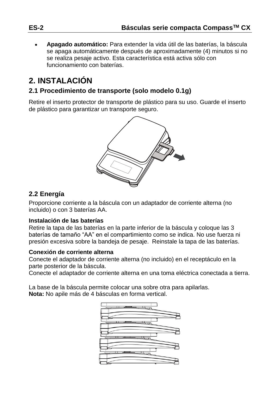**Apagado automático:** Para extender la vida útil de las baterías, la báscula se apaga automáticamente después de aproximadamente (4) minutos si no se realiza pesaje activo. Esta característica está activa sólo con funcionamiento con baterías.

# **2. INSTALACIÓN**

### **2.1 Procedimiento de transporte (solo modelo 0.1g)**

Retire el inserto protector de transporte de plástico para su uso. Guarde el inserto de plástico para garantizar un transporte seguro.



### **2.2 Energía**

Proporcione corriente a la báscula con un adaptador de corriente alterna (no incluido) o con 3 baterías AA.

#### **Instalación de las baterías**

Retire la tapa de las baterías en la parte inferior de la báscula y coloque las 3 baterías de tamaño "AA" en el compartimiento como se indica. No use fuerza ni presión excesiva sobre la bandeja de pesaje. Reinstale la tapa de las baterías.

#### **Conexión de corriente alterna**

Conecte el adaptador de corriente alterna (no incluido) en el receptáculo en la parte posterior de la báscula.

Conecte el adaptador de corriente alterna en una toma eléctrica conectada a tierra.

La base de la báscula permite colocar una sobre otra para apilarlas. **Nota:** No apile más de 4 básculas en forma vertical.

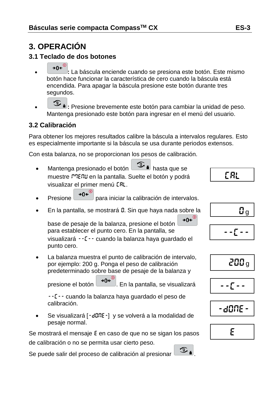# **3. OPERACIÓN**

### **3.1 Teclado de dos botones**

- **:** La báscula enciende cuando se presiona este botón. Este mismo botón hace funcionar la característica de cero cuando la báscula está encendida. Para apagar la báscula presione este botón durante tres segundos.
- **1** Presione brevemente este botón para cambiar la unidad de peso. Mantenga presionado este botón para ingresar en el menú del usuario.

# **3.2 Calibración**

Para obtener los mejores resultados calibre la báscula a intervalos regulares. Esto es especialmente importante si la báscula se usa durante periodos extensos.

Con esta balanza, no se proporcionan los pesos de calibración.

- Mantenga presionado el botón **1994** hasta que se muestre <sup>m</sup>EnU en la pantalla. Suelte el botón y podrá visualizar el primer menú CAL.
- Presione  $\rightarrow$ 0 $\leftarrow$  para iniciar la calibración de intervalos.
- En la pantalla, se mostrará 0. Sin que haya nada sobre la

 $\rightarrow 0 \leftarrow$ base de pesaje de la balanza, presione el botón para establecer el punto cero. En la pantalla, se visualizará --C-- cuando la balanza haya guardado el punto cero.

 La balanza muestra el punto de calibración de intervalo, por ejemplo: 200 g. Ponga el peso de calibración predeterminado sobre base de pesaje de la balanza y

presione el botón  $\rightarrow 0$ <sup>C</sup>. En la pantalla, se visualizará

--C-- cuando la balanza haya guardado el peso de calibración.

Se visualizará [-dOnE-] y se volverá a la modalidad de pesaje normal.

Se mostrará el mensaje E en caso de que no se sigan los pasos de calibración o no se permita usar cierto peso.

Se puede salir del proceso de calibración al presionar  $\Box$  .

$$
\begin{array}{|c|c|}\n\hline\n & 0_g \\
\hline\n & -\epsilon -\n\end{array}
$$

CAL

$$
-1\sum_{i=1}^{n} \frac{1}{i} \sum_{i=1}^{n} \frac{1}{i} \sum_{i=1}^{n} \frac{1}{i} \sum_{i=1}^{n} \frac{1}{i} \sum_{i=1}^{n} \frac{1}{i} \sum_{i=1}^{n} \frac{1}{i} \sum_{i=1}^{n} \frac{1}{i} \sum_{i=1}^{n} \frac{1}{i} \sum_{i=1}^{n} \frac{1}{i} \sum_{i=1}^{n} \frac{1}{i} \sum_{i=1}^{n} \frac{1}{i} \sum_{i=1}^{n} \frac{1}{i} \sum_{i=1}^{n} \frac{1}{i} \sum_{i=1}^{n} \frac{1}{i} \sum_{i=1}^{n} \frac{1}{i} \sum_{i=1}^{n} \frac{1}{i} \sum_{i=1}^{n} \frac{1}{i} \sum_{i=1}^{n} \frac{1}{i} \sum_{i=1}^{n} \frac{1}{i} \sum_{i=1}^{n} \frac{1}{i} \sum_{i=1}^{n} \frac{1}{i} \sum_{i=1}^{n} \frac{1}{i} \sum_{i=1}^{n} \frac{1}{i} \sum_{i=1}^{n} \frac{1}{i} \sum_{i=1}^{n} \frac{1}{i} \sum_{i=1}^{n} \frac{1}{i} \sum_{i=1}^{n} \frac{1}{i} \sum_{i=1}^{n} \frac{1}{i} \sum_{i=1}^{n} \frac{1}{i} \sum_{i=1}^{n} \frac{1}{i} \sum_{i=1}^{n} \frac{1}{i} \sum_{i=1}^{n} \frac{1}{i} \sum_{i=1}^{n} \frac{1}{i} \sum_{i=1}^{n} \frac{1}{i} \sum_{i=1}^{n} \frac{1}{i} \sum_{i=1}^{n} \frac{1}{i} \sum_{i=1}^{n} \frac{1}{i} \sum_{i=1}^{n} \frac{1}{i} \sum_{i=1}^{n} \frac{1}{i} \sum_{i=1}^{n} \frac{1}{i} \sum_{i=1}^{n} \frac{1}{i} \sum_{i=1}^{n} \frac{1}{i} \sum_{i=1}^{n} \frac{1}{i} \sum_{i=1}^{n} \frac{1}{i} \sum_{i=1}^{n
$$

$$
\text{-}\hspace{0.1cm}\text{d}\Omega\Omega\text{E}\vdash
$$

$$
\mathcal{E}^{\mathcal{E}}
$$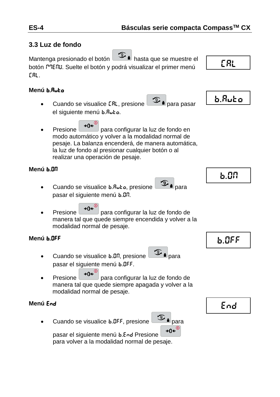### **3.3 Luz de fondo**

Mantenga presionado el botón hasta que se muestre el botón <sup>m</sup>ENU. Suelte el botón y podrá visualizar el primer menú CAL.

#### **Menú** b.Auto

- Cuando se visualice [RL, presione | هست | para pasar el siguiente menú b.Auto.
- Presione  $\rightarrow 0^{\left( \omega \right)}$  para configurar la luz de fondo en modo automático y volver a la modalidad normal de pesaje. La balanza encenderá, de manera automática, la luz de fondo al presionar cualquier botón o al realizar una operación de pesaje.

### **Menú** b.ON

- Cuando se visualice b.Ruto, presione pasar el siguiente menú b.On.
- Presione  $\rightarrow 0^{\left( \omega \right)}$  para configurar la luz de fondo de manera tal que quede siempre encendida y volver a la modalidad normal de pesaje.

#### **Menú** b.OFF

- Cuando se visualice b.Dn, presione para pasar el siguiente menú b.OFF.
- Presione  $\rightarrow$ 0 $\leftarrow$  para configurar la luz de fondo de manera tal que quede siempre apagada y volver a la modalidad normal de pesaje.

#### **Menú** End

Cuando se visualice  $6.055$ , presione  $\circled{2}$  is para



pasar el siguiente menú b.End Presione

para volver a la modalidad normal de pesaje.

CAL



b.ON

b.OFF

End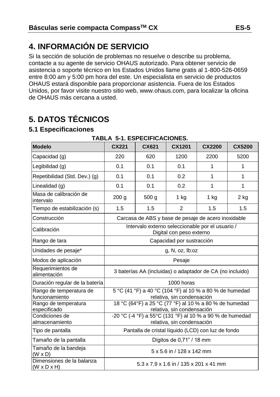# **4. INFORMACIÓN DE SERVICIO**

Si la sección de solución de problemas no resuelve o describe su problema, contacte a su agente de servicio OHAUS autorizado. Para obtener servicio de asistencia o soporte técnico en los Estados Unidos llame gratis al 1-800-526-0659 entre 8:00 am y 5:00 pm hora del este. Un especialista en servicio de productos OHAUS estará disponible para proporcionar asistencia. Fuera de los Estados Unidos, por favor visite nuestro sitio web, www.ohaus.com, para localizar la oficina de OHAUS más cercana a usted.

# **5. DATOS TÉCNICOS**

#### **5.1 Especificaciones**

| <b>Modelo</b>                                        | CX221                                                                                                                | CX621            | CX1201                                                                                | <b>CX2200</b> | <b>CX5200</b> |
|------------------------------------------------------|----------------------------------------------------------------------------------------------------------------------|------------------|---------------------------------------------------------------------------------------|---------------|---------------|
| Capacidad (g)                                        | 220                                                                                                                  | 620              | 1200                                                                                  | 2200          | 5200          |
| Legibilidad (g)                                      | 0.1                                                                                                                  | 0.1              | 0.1                                                                                   | 1             | 1             |
| Repetibilidad (Std. Dev.) (g)                        | 0.1                                                                                                                  | 0.1              | 0.2                                                                                   | 1             | 1             |
| Linealidad (g)                                       | 0.1                                                                                                                  | 0.1              | 0.2                                                                                   | 1             | 1             |
| Masa de calibración de<br>intervalo                  | 200 g                                                                                                                | 500 <sub>g</sub> | $1$ kg                                                                                | $1$ kg        | $2$ kg        |
| Tiempo de estabilización (s)                         | 1.5                                                                                                                  | 1.5              | $\overline{2}$                                                                        | 1.5           | 1.5           |
| Construcción                                         |                                                                                                                      |                  | Carcasa de ABS y base de pesaje de acero inoxidable                                   |               |               |
| Calibración                                          | Intervalo externo seleccionable por el usuario /<br>Digital con peso externo                                         |                  |                                                                                       |               |               |
| Rango de tara                                        | Capacidad por sustracción                                                                                            |                  |                                                                                       |               |               |
| Unidades de pesaje*                                  | g, N, oz, lb:oz                                                                                                      |                  |                                                                                       |               |               |
| Modos de aplicación                                  | Pesaje                                                                                                               |                  |                                                                                       |               |               |
| Requerimientos de<br>alimentación                    | 3 baterías AA (incluidas) o adaptador de CA (no incluido)                                                            |                  |                                                                                       |               |               |
| Duración regular de la batería                       | 1000 horas                                                                                                           |                  |                                                                                       |               |               |
| Rango de temperatura de<br>funcionamiento            |                                                                                                                      |                  | 5 °C (41 °F) a 40 °C (104 °F) al 10 % a 80 % de humedad<br>relativa, sin condensación |               |               |
| Rango de temperatura<br>especificado                 |                                                                                                                      |                  | 18 °C (64°F) a 25 °C (77 °F) al 10 % a 80 % de humedad                                |               |               |
| Condiciones de<br>almacenamiento                     | relativa, sin condensación<br>-20 °C (-4 °F) a 55°C (131 °F) al 10 % a 90 % de humedad<br>relativa, sin condensación |                  |                                                                                       |               |               |
| Tipo de pantalla                                     | Pantalla de cristal líquido (LCD) con luz de fondo                                                                   |                  |                                                                                       |               |               |
| Tamaño de la pantalla                                |                                                                                                                      |                  | Dígitos de 0,71" / 18 mm                                                              |               |               |
| Tamaño de la bandeja<br>(W x D)                      | 5 x 5.6 in / 128 x 142 mm                                                                                            |                  |                                                                                       |               |               |
| Dimensiones de la balanza<br>$(W \times D \times H)$ |                                                                                                                      |                  | 5.3 x 7.9 x 1.6 in / 135 x 201 x 41 mm                                                |               |               |

#### **TABLA 5-1. ESPECIFICACIONES.**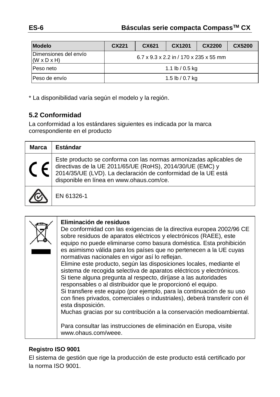| <b>Modelo</b>                                    | CX221                                  | CX621 | CX1201          | CX2200 | CX5200 |  |
|--------------------------------------------------|----------------------------------------|-------|-----------------|--------|--------|--|
| Dimensiones del envío<br>$(W \times D \times H)$ | 6.7 x 9.3 x 2.2 in / 170 x 235 x 55 mm |       |                 |        |        |  |
| Peso neto                                        | 1.1 lb / 0.5 kg                        |       |                 |        |        |  |
| Peso de envío                                    |                                        |       | 1.5 lb / 0.7 kg |        |        |  |

\* La disponibilidad varía según el modelo y la región.

# **5.2 Conformidad**

La conformidad a los estándares siguientes es indicada por la marca correspondiente en el producto

| <b>Marca</b> | Estándar                                                                                                                                                                                                                                     |
|--------------|----------------------------------------------------------------------------------------------------------------------------------------------------------------------------------------------------------------------------------------------|
|              | Este producto se conforma con las normas armonizadas aplicables de<br>directivas de la UE 2011/65/UE (RoHS), 2014/30/UE (EMC) y<br>2014/35/UE (LVD). La declaración de conformidad de la UE está<br>disponible en línea en www.ohaus.com/ce. |
|              | EN 61326-1                                                                                                                                                                                                                                   |

| Eliminación de residuos<br>De conformidad con las exigencias de la directiva europea 2002/96 CE<br>sobre residuos de aparatos eléctricos y electrónicos (RAEE), este<br>equipo no puede eliminarse como basura doméstica. Esta prohibición<br>es asimismo válida para los países que no pertenecen a la UE cuyas<br>normativas nacionales en vigor así lo reflejan.<br>Elimine este producto, según las disposiciones locales, mediante el<br>sistema de recogida selectiva de aparatos eléctricos y electrónicos.<br>Si tiene alguna pregunta al respecto, diríjase a las autoridades<br>responsables o al distribuidor que le proporcionó el equipo.<br>Si transfiere este equipo (por ejemplo, para la continuación de su uso<br>con fines privados, comerciales o industriales), deberá transferir con él<br>esta disposición.<br>Muchas gracias por su contribución a la conservación medioambiental. |
|------------------------------------------------------------------------------------------------------------------------------------------------------------------------------------------------------------------------------------------------------------------------------------------------------------------------------------------------------------------------------------------------------------------------------------------------------------------------------------------------------------------------------------------------------------------------------------------------------------------------------------------------------------------------------------------------------------------------------------------------------------------------------------------------------------------------------------------------------------------------------------------------------------|
| Para consultar las instrucciones de eliminación en Europa, visite<br>www.ohaus.com/weee.                                                                                                                                                                                                                                                                                                                                                                                                                                                                                                                                                                                                                                                                                                                                                                                                                   |

#### **Registro ISO 9001**

El sistema de gestión que rige la producción de este producto estácertificado por la norma ISO 9001.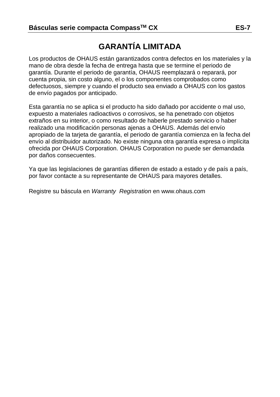# **GARANTÍA LIMITADA**

Los productos de OHAUS están garantizados contra defectos en los materiales y la mano de obra desde la fecha de entrega hasta que se termine el periodo de garantía. Durante el periodo de garantía, OHAUS reemplazará o reparará, por cuenta propia, sin costo alguno, el o los componentes comprobados como defectuosos, siempre y cuando el producto sea enviado a OHAUS con los gastos de envío pagados por anticipado.

Esta garantía no se aplica si el producto ha sido dañado por accidente o mal uso, expuesto a materiales radioactivos o corrosivos, se ha penetrado con objetos extraños en su interior, o como resultado de haberle prestado servicio o haber realizado una modificación personas ajenas a OHAUS. Además del envío apropiado de la tarjeta de garantía, el periodo de garantía comienza en la fecha del envío al distribuidor autorizado. No existe ninguna otra garantía expresa o implícita ofrecida por OHAUS Corporation. OHAUS Corporation no puede ser demandada por daños consecuentes.

Ya que las legislaciones de garantías difieren de estado a estado y de país a país, por favor contacte a su representante de OHAUS para mayores detalles.

Registre su báscula en *Warranty Registration* en www.ohaus.com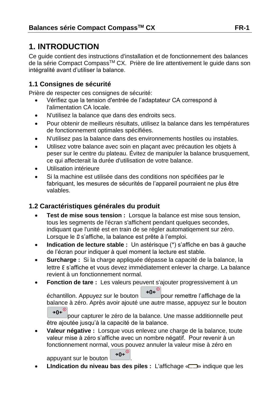# **1. INTRODUCTION**

Ce guide contient des instructions d'installation et de fonctionnement des balances de la série Compact Compass™ CX. Prière de lire attentivement le guide dans son intégralité avant d'utiliser la balance.

### **1.1 Consignes de sécurité**

Prière de respecter ces consignes de sécurité:

- Vérifiez que la tension d'entrée de l'adaptateur CA correspond à l'alimentation CA locale.
- N'utilisez la balance que dans des endroits secs.
- Pour obtenir de meilleurs résultats, utilisez la balance dans les températures de fonctionnement optimales spécifiées.
- N'utilisez pas la balance dans des environnements hostiles ou instables.
- Utilisez votre balance avec soin en plaçant avec précaution les objets à peser sur le centre du plateau. Évitez de manipuler la balance brusquement, ce qui affecterait la durée d'utilisation de votre balance.
- Utilisation intérieure
- Si la machine est utilisée dans des conditions non spécifiées par le fabriquant, les mesures de sécurités de l'appareil pourraient ne plus être valables.

### **1.2 Caractéristiques générales du produit**

- **Test de mise sous tension :** Lorsque la balance est mise sous tension, tous les segments de l'écran s'affichent pendant quelques secondes, indiquant que l'unité est en train de se régler automatiqement sur zéro. Lorsque le 0 s'affiche, la balance est prête à l'emploi.
- **Indication de lecture stable :** Un astérisque (\*) s'affiche en bas à gauche de l'écran pour indiquer à quel moment la lecture est stable.
- **Surcharge :** Si la charge appliquée dépasse la capacité de la balance, la lettre E s'affiche et vous devez immédiatement enlever la charge. La balance revient à un fonctionnement normal.
- **Fonction de tare :** Les valeurs peuvent s'ajouter progressivement à un

échantillon. Appuyez sur le bouton  $\rightarrow 0 \leftarrow \infty$ pour remettre l'affichage de la balance à zéro. Après avoir ajouté une autre masse, appuyez sur le bouton  $\rightarrow 0 \leftarrow$ <sup>0</sup>

pour capturer le zéro de la balance. Une masse additionnelle peut être ajoutée jusqu'à la capacité de la balance.

 **Valeur négative :** Lorsque vous enlevez une charge de la balance, toute valeur mise à zéro s'affiche avec un nombre négatif. Pour revenir à un fonctionnement normal, vous pouvez annuler la valeur mise à zéro en

appuyant sur le bouton  $\rightarrow 0 \leftarrow \infty$ 

**LIndication du niveau bas des piles :** L'affichage « $\Box$ » indique que les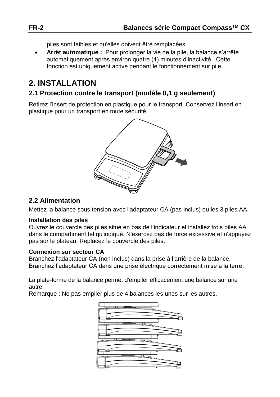piles sont faibles et qu'elles doivent être remplacées.

 **Arrêt automatique :** Pour prolonger la vie de la pile, la balance s'arrête automatiquement après environ quatre (4) minutes d'inactivité. Cette fonction est uniquement active pendant le fonctionnement sur pile.

# **2. INSTALLATION**

### **2.1 Protection contre le transport (modèle 0,1 g seulement)**

Retirez l'insert de protection en plastique pour le transport. Conservez l'insert en plastique pour un transport en toute sécurité.



### **2.2 Alimentation**

Mettez la balance sous tension avec l'adaptateur CA (pas inclus) ou les 3 piles AA.

#### **Installation des piles**

Ouvrez le couvercle des piles situé en bas de l'indicateur et installez trois piles AA dans le compartiment tel qu'indiqué. N'exercez pas de force excessive et n'appuyez pas sur le plateau. Replacez le couvercle des piles.

#### **Connexion sur secteur CA**

Branchez l'adaptateur CA (non inclus) dans la prise à l'arrière de la balance. Branchez l'adaptateur CA dans une prise électrique correctement mise à la terre.

La plate-forme de la balance permet d'empiler efficacement une balance sur une autre.

Remarque : Ne pas empiler plus de 4 balances les unes sur les autres.

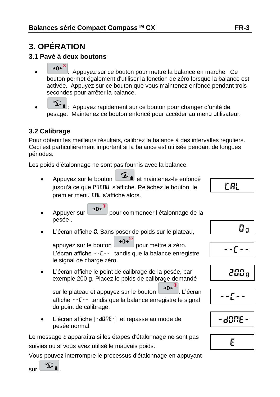# **3. OPÉRATION**

### **3.1 Pavé à deux boutons**

- →0 $\left( \frac{1}{2} \right)$ : Appuyez sur ce bouton pour mettre la balance en marche. Ce bouton permet également d'utiliser la fonction de zéro lorsque la balance est activée. Appuyez sur ce bouton que vous maintenez enfoncé pendant trois secondes pour arrêter la balance.
- : Appuyez rapidement sur ce bouton pour changer d'unité de pesage. Maintenez ce bouton enfoncé pour accéder au menu utilisateur.

### **3.2 Calibrage**

Pour obtenir les meilleurs résultats, calibrez la balance à des intervalles réguliers. Ceci est particulièrement important si la balance est utilisée pendant de longues périodes.

Les poids d'étalonnage ne sont pas fournis avec la balance.

- Appuyez sur le bouton  $\boxed{2}$  is et maintenez-le enfoncé jusqu'à ce que PPENU s'affiche. Relâchez le bouton, le premier menu CAL s'affiche alors.
- Appuyer sur  $\rightarrow 0^{\epsilon^{0}}$  pour commencer l'étalonnage de la pesée .
- L'écran affiche 0. Sans poser de poids sur le plateau,

appuyez sur le bouton  $\rightarrow 0e^{\degree}$  pour mettre à zéro. L'écran affiche --C-- tandis que la balance enregistre le signal de charge zéro.

 L'écran affiche le point de calibrage de la pesée, par exemple 200 g. Placez le poids de calibrage demandé

sur le plateau et appuyez sur le bouton  $\left( \begin{array}{c} \rightarrow 0 \leftarrow \end{array} \right)$ . L'écran affiche --C-- tandis que la balance enregistre le signal du point de calibrage.

L'écran affiche [-dQnE-] et repasse au mode de pesée normal.

Le message E apparaîtra si les étapes d'étalonnage ne sont pas suivies ou si vous avez utilisé le mauvais poids.

Vous pouvez interrompre le processus d'étalonnage en appuyant

 $[- -]$ 200 <sup>g</sup>  $\mathfrak{g}_{\mathfrak{q}}$ 

CAL



-dONe-



 $\frac{1}{\sqrt{2}}$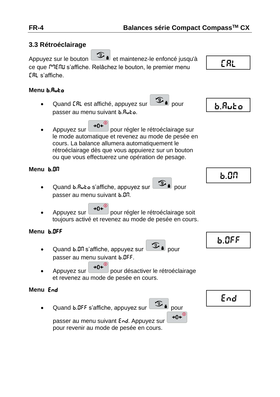# **3.3 Rétroéclairage** Appuyez sur le bouton  $\boxed{\mathcal{I}}$  a et maintenez-le enfoncé jusqu'à CAL ce que <sup>m</sup>IENU s'affiche. Relâchez le bouton, le premier menu CAL s'affiche. **Menu** b.Auto Quand CRL est affiché, appuyez sur pour b.Autopasser au menu suivant b.Auto. Appuyez sur  $\rightarrow 0e^{\omega}$  pour régler le rétroéclairage sur le mode automatique et revenez au mode de pesée en cours. La balance allumera automatiquement le rétroéclairage dès que vous appuierez sur un bouton ou que vous effectuerez une opération de pesage. **Menu** b.ON b.ON Quand b.RuŁo s'affiche, appuyez sur pour passer au menu suivant b.ON. Appuyez sur  $\rightarrow 0e^{i\theta}$  pour régler le rétroéclairage soit toujours activé et revenez au mode de pesée en cours. **Menu** b.OFF b.OFF Quand b.Dn s'affiche, appuyez sur **9** bour passer au menu suivant b.OFF. Appuyez sur  $\theta e^{\omega}$  pour désactiver le rétroéclairage et revenez au mode de pesée en cours. **Menu** End End Quand b.DFF s'affiche, appuyez sur **9** i pour  $+0$ + $\circ$ passer au menu suivant End. Appuyez sur pour revenir au mode de pesée en cours.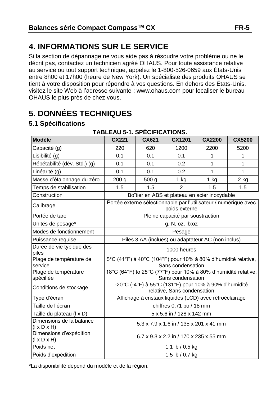# **4. INFORMATIONS SUR LE SERVICE**

Si la section de dépannage ne vous aide pas à résoudre votre problème ou ne le décrit pas, contactez un technicien agréé OHAUS. Pour toute assistance relative au service ou tout support technique, appelez le 1-800-526-0659 aux États-Unis entre 8h00 et 17h00 (heure de New York). Un spécialiste des produits OHAUS se tient à votre disposition pour répondre à vos questions. En dehors des États-Unis, visitez le site Web à l'adresse suivante : www.ohaus.com pour localiser le bureau OHAUS le plus près de chez vous.

# **5. DONNÉES TECHNIQUES**

### **5.1 Spécifications**

| <b>Modèle</b>                                       | <b>CX221</b>                                                                       | CX621            | CX1201                                                                               | <b>CX2200</b> | <b>CX5200</b> |
|-----------------------------------------------------|------------------------------------------------------------------------------------|------------------|--------------------------------------------------------------------------------------|---------------|---------------|
| Capacité (g)                                        | 220                                                                                | 620              | 1200                                                                                 | 2200          | 5200          |
| Lisibilité (g)                                      | 0.1                                                                                | 0.1              | 0.1                                                                                  | 1             | 1             |
| Répétabilité (dév. Std.) (g)                        | 0.1                                                                                | 0.1              | 0.2                                                                                  | 1             | 1             |
| Linéarité (g)                                       | 0.1                                                                                | 0.1              | 0.2                                                                                  | 1             | 1             |
| Masse d'étalonnage du zéro                          | 200 g                                                                              | 500 <sub>g</sub> | $1$ kg                                                                               | $1$ kg        | 2 kg          |
| Temps de stabilisation                              | 1.5                                                                                | 1.5              | $\mathfrak{p}$                                                                       | 1.5           | 1.5           |
| Construction                                        |                                                                                    |                  | Boîtier en ABS et plateau en acier inoxydable                                        |               |               |
| Calibrage                                           |                                                                                    |                  | Portée externe sélectionnable par l'utilisateur / numérique avec<br>poids externe    |               |               |
| Portée de tare                                      |                                                                                    |                  | Pleine capacité par soustraction                                                     |               |               |
| Unités de pesage*                                   |                                                                                    |                  | g, N, oz, Ib:oz                                                                      |               |               |
| Modes de fonctionnement                             | Pesage                                                                             |                  |                                                                                      |               |               |
| Puissance requise                                   | Piles 3 AA (inclues) ou adaptateur AC (non inclus)                                 |                  |                                                                                      |               |               |
| Durée de vie typique des<br>piles                   | 1000 heures                                                                        |                  |                                                                                      |               |               |
| Plage de température de<br>service                  | 5°C (41°F) à 40°C (104°F) pour 10% à 80% d'humidité relative,<br>Sans condensation |                  |                                                                                      |               |               |
| Plage de température<br>spécifiée                   |                                                                                    |                  | 18°C (64°F) to 25°C (77°F) pour 10% à 80% d'humidité relative,<br>Sans condensation  |               |               |
| Conditions de stockage                              |                                                                                    |                  | -20°C (-4°F) à 55°C (131°F) pour 10% à 90% d'humidité<br>relative, Sans condensation |               |               |
| Type d'écran                                        |                                                                                    |                  | Affichage à cristaux liquides (LCD) avec rétroéclairage                              |               |               |
| Taille de l'écran                                   |                                                                                    |                  | chiffres 0,71 po / 18 mm                                                             |               |               |
| Taille du plateau (I x D)                           |                                                                                    |                  | 5 x 5.6 in / 128 x 142 mm                                                            |               |               |
| Dimensions de la balance<br>$(I \times D \times H)$ | 5.3 x 7.9 x 1.6 in / 135 x 201 x 41 mm                                             |                  |                                                                                      |               |               |
| Dimensions d'expédition<br>$(I \times D \times H)$  | 6.7 x 9.3 x 2.2 in / 170 x 235 x 55 mm                                             |                  |                                                                                      |               |               |
| Poids net                                           |                                                                                    |                  | 1.1 lb / 0.5 kg                                                                      |               |               |
| Poids d'expédition                                  | 1.5 lb / 0.7 kg                                                                    |                  |                                                                                      |               |               |

#### **TABLEAU 5-1. SPÉCIFICATIONS.**

\*La disponibilité dépend du modèle et de la région.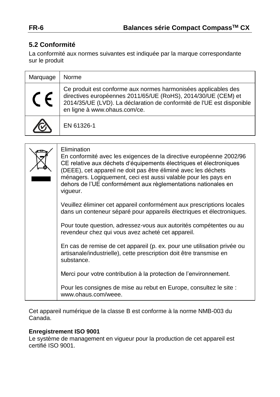# **5.2 Conformité**

La conformité aux normes suivantes est indiquée par la marque correspondante sur le produit

| Marquage | Norme                                                                                                                                                                                                                                    |
|----------|------------------------------------------------------------------------------------------------------------------------------------------------------------------------------------------------------------------------------------------|
|          | Ce produit est conforme aux normes harmonisées applicables des<br>directives européennes 2011/65/UE (RoHS), 2014/30/UE (CEM) et<br>2014/35/UE (LVD). La déclaration de conformité de l'UE est disponible<br>en ligne à www.ohaus.com/ce. |
|          | EN 61326-1                                                                                                                                                                                                                               |

| Elimination<br>En conformité avec les exigences de la directive européenne 2002/96<br>CE relative aux déchets d'équipements électriques et électroniques<br>(DEEE), cet appareil ne doit pas être éliminé avec les déchets<br>ménagers. Logiquement, ceci est aussi valable pour les pays en<br>dehors de l'UE conformément aux règlementations nationales en<br>viqueur. |
|---------------------------------------------------------------------------------------------------------------------------------------------------------------------------------------------------------------------------------------------------------------------------------------------------------------------------------------------------------------------------|
| Veuillez éliminer cet appareil conformément aux prescriptions locales<br>dans un conteneur séparé pour appareils électriques et électroniques.                                                                                                                                                                                                                            |
| Pour toute question, adressez-vous aux autorités compétentes ou au<br>revendeur chez qui vous avez acheté cet appareil.                                                                                                                                                                                                                                                   |
| En cas de remise de cet appareil (p. ex. pour une utilisation privée ou<br>artisanale/industrielle), cette prescription doit être transmise en<br>substance.                                                                                                                                                                                                              |
| Merci pour votre contribution à la protection de l'environnement.                                                                                                                                                                                                                                                                                                         |
| Pour les consignes de mise au rebut en Europe, consultez le site :<br>www.ohaus.com/weee.                                                                                                                                                                                                                                                                                 |

Cet appareil numérique de la classe B est conforme à la norme NMB-003 du Canada.

#### **Enregistrement ISO 9001**

Le système de management en vigueur pour la production de cet appareil est certifié ISO 9001.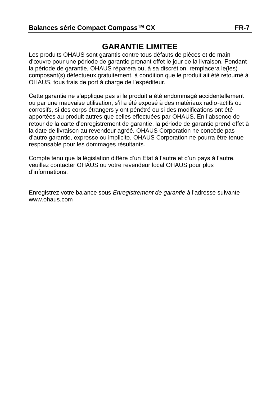# **GARANTIE LIMITEE**

Les produits OHAUS sont garantis contre tous défauts de pièces et de main d'œuvre pour une période de garantie prenant effet le jour de la livraison. Pendant la période de garantie, OHAUS réparera ou, à sa discrétion, remplacera le(les) composant(s) défectueux gratuitement, à condition que le produit ait été retourné à OHAUS, tous frais de port à charge de l'expéditeur.

Cette garantie ne s'applique pas si le produit a été endommagé accidentellement ou par une mauvaise utilisation, s'il a été exposé à des matériaux radio-actifs ou corrosifs, si des corps étrangers y ont pénétré ou si des modifications ont été apportées au produit autres que celles effectuées par OHAUS. En l'absence de retour de la carte d'enregistrement de garantie, la période de garantie prend effet à la date de livraison au revendeur agréé. OHAUS Corporation ne concède pas d'autre garantie, expresse ou implicite. OHAUS Corporation ne pourra être tenue responsable pour les dommages résultants.

Compte tenu que la législation diffère d'un Etat à l'autre et d'un pays à l'autre, veuillez contacter OHAUS ou votre revendeur local OHAUS pour plus d'informations.

Enregistrez votre balance sous *Enregistrement de garantie* à l'adresse suivante www.ohaus.com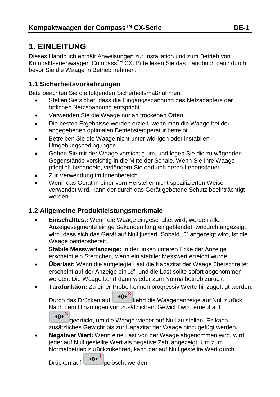# **1. EINLEITUNG**

Dieses Handbuch enthält Anweisungen zur Installation und zum Betrieb von Kompaktserienwaagen Compass<sup>™</sup> CX. Bitte lesen Sie das Handbuch ganz durch, bevor Sie die Waage in Betrieb nehmen.

### **1.1 Sicherheitsvorkehrungen**

Bitte beachten Sie die folgenden Sicherheitsmaßnahmen:

- Stellen Sie sicher, dass die Eingangsspannung des Netzadapters der örtlichen Netzspannung entspricht.
- Verwenden Sie die Waage nur an trockenen Orten.
- Die besten Ergebnisse werden erzielt, wenn man die Waage bei der angegebenen optimalen Betriebstemperatur betreibt.
- Betreiben Sie die Waage nicht unter widrigen oder instabilen Umgebungsbedingungen.
- Gehen Sie mit der Waage vorsichtig um, und legen Sie die zu wägenden Gegenstände vorsichtig in die Mitte der Schale. Wenn Sie Ihre Waage pfleglich behandeln, verlängern Sie dadurch deren Lebensdauer.
- Zur Verwendung im Innenbereich
- Wenn das Gerät in einer vom Hersteller nicht spezifizierten Weise verwendet wird, kann der durch das Gerät gebotene Schutz beeinträchtigt werden.

### **1.2 Allgemeine Produktleistungsmerkmale**

- **Einschalttest:** Wenn die Waage eingeschaltet wird, werden alle Anzeigesegmente einige Sekunden lang eingeblendet, wodurch angezeigt wird, dass sich das Gerät auf Null justiert. Sobald "0" angezeigt wird, ist die Waage betriebsbereit.
- **Stabile Messwertanzeige:** In der linken unteren Ecke der Anzeige erscheint ein Sternchen, wenn ein stabiler Messwert erreicht wurde.
- **Überlast:** Wenn die aufgelegte Last die Kapazität der Waage überschreitet, erscheint auf der Anzeige ein "E", und die Last sollte sofort abgenommen werden. Die Waage kehrt dann wieder zum Normalbetrieb zurück.
- **Tarafunktion:** Zu einer Probe können progressiv Werte hinzugefügt werden.

Durch das Drücken auf  $\bigcup_{i=0}^{\infty}$ kehrt die Waagenanzeige auf Null zurück. Nach dem Hinzufügen von zusätzlichem Gewicht wird erneut auf  $\rightarrow 0e^{0}$ 

gedrückt, um die Waage wieder auf Null zu stellen. Es kann zusätzliches Gewicht bis zur Kapazität der Waage hinzugefügt werden.

 **Negativer Wert:** Wenn eine Last von der Waage abgenommen wird, wird jeder auf Null gestellte Wert als negative Zahl angezeigt. Um zum Normalbetrieb zurückzukehren, kann der auf Null gestellte Wert durch

Drücken auf  $\left[\rightarrow 0 \leftarrow \right]$  gelöscht werden.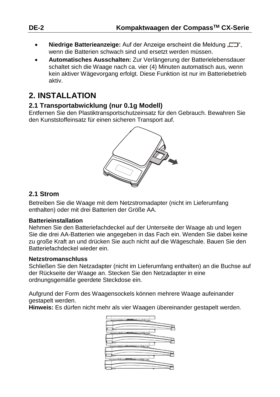- **Niedrige Batterieanzeige:** Auf der Anzeige erscheint die Meldung ...  $\Box$ ". wenn die Batterien schwach sind und ersetzt werden müssen.
- **Automatisches Ausschalten:** Zur Verlängerung der Batterielebensdauer schaltet sich die Waage nach ca. vier (4) Minuten automatisch aus, wenn kein aktiver Wägevorgang erfolgt. Diese Funktion ist nur im Batteriebetrieb aktiv.

# **2. INSTALLATION**

### **2.1 Transportabwicklung (nur 0.1g Modell)**

Entfernen Sie den Plastiktransportschutzeinsatz für den Gebrauch. Bewahren Sie den Kunststoffeinsatz für einen sicheren Transport auf.



### **2.1 Strom**

Betreiben Sie die Waage mit dem Netzstromadapter (nicht im Lieferumfang enthalten) oder mit drei Batterien der Größe AA.

#### **Batterieinstallation**

Nehmen Sie den Batteriefachdeckel auf der Unterseite der Waage ab und legen Sie die drei AA-Batterien wie angegeben in das Fach ein. Wenden Sie dabei keine zu große Kraft an und drücken Sie auch nicht auf die Wägeschale. Bauen Sie den Batteriefachdeckel wieder ein.

#### **Netzstromanschluss**

Schließen Sie den Netzadapter (nicht im Lieferumfang enthalten) an die Buchse auf der Rückseite der Waage an. Stecken Sie den Netzadapter in eine ordnungsgemäße geerdete Steckdose ein.

Aufgrund der Form des Waagensockels können mehrere Waage aufeinander gestapelt werden.

**Hinweis:** Es dürfen nicht mehr als vier Waagen übereinander gestapelt werden.

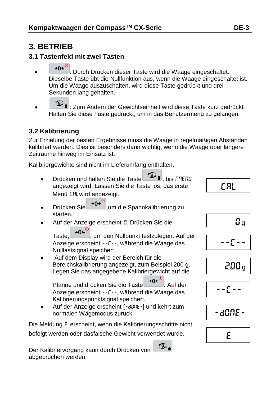# **3. BETRIEB**

### **3.1 Tastenfeld mit zwei Tasten**

- \*0<sup>e</sub><sup>o</sup>): Durch Drücken dieser Taste wird die Waage eingeschaltet.</sup> Dieselbe Taste übt die Nullfunktion aus, wenn die Waage eingeschaltet ist. Um die Waage auszuschalten, wird diese Taste gedrückt und drei Sekunden lang gehalten.
- $\circled{1}$ : Zum Ändern der Gewichtseinheit wird diese Taste kurz gedrückt. Halten Sie diese Taste gedrückt, um in das Benutzermenü zu gelangen.

# **3.2 Kalibrierung**

Zur Erzielung der besten Ergebnisse muss die Waage in regelmäßigen Abständen kalibriert werden. Dies ist besonders dann wichtig, wenn die Waage über längere Zeiträume hinweg im Einsatz ist.

Kalibriergewichte sind nicht im Lieferumfang enthalten.

- Drücken und halten Sie die Taste , bis mMeNU angezeigt wird. Lassen Sie die Taste los, das erste Menü CALwird angezeigt.
- Drücken Sie →0← um die Spannkalibrierung zu starten.
- Auf der Anzeige erscheint **D.** Drücken Sie die

Taste,  $\rightarrow 0$ <sup>c $\omega$ </sup>, um den Nullpunkt festzulegen. Auf der Anzeige erscheint --C--, während die Waage das Nulllastsignal speichert.

 Auf dem Display wird der Bereich für die Bereichskalibrierung angezeigt, zum Beispiel 200 g. Legen Sie das angegebene Kalibriergewicht auf die

Pfanne und drücken Sie die Taste → 0 + 0. Auf der Anzeige erscheint --C--, während die Waage das Kalibrierungspunktsignal speichert.

 $\mathcal{F}_{1}$ 

• Auf der Anzeige erscheint [-dDnE-] und kehrt zum normalen Wägemodus zurück.

Die Meldung E erscheint, wenn die Kalibrierungsschritte nicht befolgt werden oder dasfalsche Gewicht verwendet wurde.

Der Kalibriervorgang kann durch Drücken von abgebrochen werden.



0 g

$$
- \frac{1}{2} \int_0^1 e^{-t} \, dt
$$

$$
200\,\mathrm{g}
$$





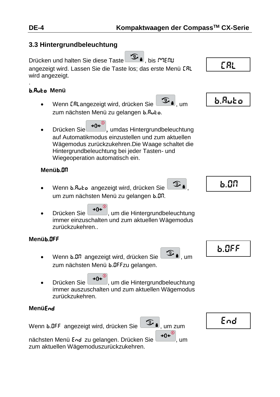# **3.3 Hintergrundbeleuchtung**

Drücken und halten Sie diese Taste (בוצי Lis רביב , bis חיים, bis ו angezeigt wird. Lassen Sie die Taste los; das erste Menü CAL wird angezeigt. .

# b.Auto **Menü**

- Wenn [RLangezeigt wird, drücken Sie 3, um zum nächsten Menü zu gelangen b.Ruto.
- Drücken Sie 30<sup>e<sup>®</sup>, umdas Hintergrundbeleuchtung</sup> auf Automatikmodus einzustellen und zum aktuellen Wägemodus zurückzukehren.Die Waage schaltet die Hintergrundbeleuchtung bei jeder Tasten- und Wiegeoperation automatisch ein.

### **Menü**b.ON

- Wenn b.Ruto angezeigt wird, drücken Sie um zum nächsten Menü zu gelangen b.Dn.
- Drücken Sie → O+ (um die Hintergrundbeleuchtung immer einzuschalten und zum aktuellen Wägemodus zurückzukehren..

# **Menü**b.OFF

- Wenn  $b$ .D.R angezeigt wird, drücken Sie zum nächsten Menü b.DFFzu gelangen.
- Drücken Sie → O← um die Hintergrundbeleuchtung immer auszuschalten und zum aktuellen Wägemodus zurückzukehren.

### **Menü**End

Wenn  $b.0$ FF angezeigt wird, drücken Sie  $\circled{3}$  , um zum

nächsten Menü End zu gelangen. Drücken Sie +0+ (um zum aktuellen Wägemoduszurückzukehren.







b.OFF

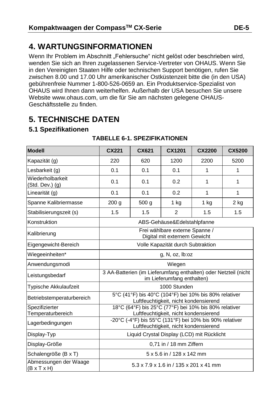# **4. WARTUNGSINFORMATIONEN**

Wenn Ihr Problem im Abschnitt "Fehlersuche" nicht gelöst oder beschrieben wird, wenden Sie sich an Ihren zugelassenen Service-Vertreter von OHAUS. Wenn Sie in den Vereinigten Staaten Hilfe oder technischen Support benötigen, rufen Sie zwischen 8.00 und 17.00 Uhr amerikanischer Ostküstenzeit bitte die (in den USA) gebührenfreie Nummer 1-800-526-0659 an. Ein Produktservice-Spezialist von OHAUS wird Ihnen dann weiterhelfen. Außerhalb der USA besuchen Sie unsere Website www.ohaus.com, um die für Sie am nächsten gelegene OHAUS-Geschäftsstelle zu finden.

# **5. TECHNISCHE DATEN**

### **5.1 Spezifikationen**

| <b>Modell</b>                                    | CX221                                                                                                                                     | CX621                                      | CX1201                      | CX2200 | <b>CX5200</b> |  |
|--------------------------------------------------|-------------------------------------------------------------------------------------------------------------------------------------------|--------------------------------------------|-----------------------------|--------|---------------|--|
| Kapazität (g)                                    | 220                                                                                                                                       | 620                                        | 1200                        | 2200   | 5200          |  |
| Lesbarkeit (g)                                   | 0.1                                                                                                                                       | 0.1                                        | 0.1                         | 1      | 1             |  |
| Wiederholbarkeit<br>$(Std. Dev.)$ $(g)$          | 0.1                                                                                                                                       | 0.1                                        | 0.2                         | 1      | 1             |  |
| Linearität (g)                                   | 0.1                                                                                                                                       | 0.1                                        | 0.2                         | 1      | 1             |  |
| Spanne Kalibriermasse                            | 200 <sub>g</sub>                                                                                                                          | 500 g                                      | 1 kg                        | 1 kg   | $2$ kg        |  |
| Stabilisierungszeit (s)                          | 1.5                                                                                                                                       | 1.5                                        | $\overline{2}$              | 1.5    | 1.5           |  |
| Konstruktion                                     |                                                                                                                                           |                                            | ABS-Gehäuse&Edelstahlpfanne |        |               |  |
| Kalibrierung                                     | Frei wählbare externe Spanne /<br>Digital mit externem Gewicht                                                                            |                                            |                             |        |               |  |
| Eigengewicht-Bereich                             | Volle Kapazität durch Subtraktion                                                                                                         |                                            |                             |        |               |  |
| Wiegeeinheiten*                                  | g, N, oz, lb:oz                                                                                                                           |                                            |                             |        |               |  |
| Anwendungsmodi                                   | Wiegen                                                                                                                                    |                                            |                             |        |               |  |
| Leistungsbedarf                                  | 3 AA-Batterien (im Lieferumfang enthalten) oder Netzteil (nicht<br>im Lieferumfang enthalten)                                             |                                            |                             |        |               |  |
| <b>Typische Akkulaufzeit</b>                     | 1000 Stunden                                                                                                                              |                                            |                             |        |               |  |
| Betriebstemperaturbereich                        | 5°C (41°F) bis 40°C (104°F) bei 10% bis 80% relativer<br>Luftfeuchtigkeit, nicht kondensierend                                            |                                            |                             |        |               |  |
| Spezifizierter                                   | 18°C (64°F) bis 25°C (77°F) bei 10% bis 80% relativer                                                                                     |                                            |                             |        |               |  |
| Temperaturbereich<br>Lagerbedingungen            | Luftfeuchtigkeit, nicht kondensierend<br>-20°C (-4°F) bis 55°C (131°F) bei 10% bis 90% relativer<br>Luftfeuchtigkeit, nicht kondensierend |                                            |                             |        |               |  |
| Display-Typ                                      |                                                                                                                                           | Liquid Crystal Display (LCD) mit Rücklicht |                             |        |               |  |
| Display-Größe                                    |                                                                                                                                           |                                            | 0,71 in / 18 mm Ziffern     |        |               |  |
| Schalengröße (B x T)                             |                                                                                                                                           |                                            | 5 x 5.6 in / 128 x 142 mm   |        |               |  |
| Abmessungen der Waage<br>$(B \times T \times H)$ | 5.3 x 7.9 x 1.6 in / 135 x 201 x 41 mm                                                                                                    |                                            |                             |        |               |  |

#### **TABELLE 6-1. SPEZIFIKATIONEN**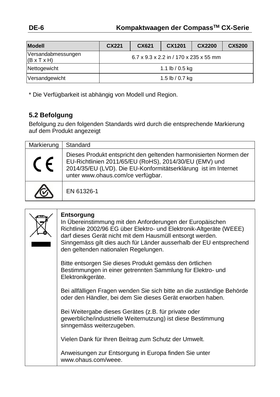| <b>Modell</b>                                 | CX221                                  | CX621 | CX1201          | <b>CX2200</b> | <b>CX5200</b> |  |
|-----------------------------------------------|----------------------------------------|-------|-----------------|---------------|---------------|--|
| Versandabmessungen<br>$(B \times T \times H)$ | 6.7 x 9.3 x 2.2 in / 170 x 235 x 55 mm |       |                 |               |               |  |
| Nettogewicht                                  | 1.1 lb / 0.5 kg                        |       |                 |               |               |  |
| Versandgewicht                                |                                        |       | 1.5 lb / 0.7 kg |               |               |  |

\* Die Verfügbarkeit ist abhängig von Modell und Region.

# **5.2 Befolgung**

Befolgung zu den folgenden Standards wird durch die entsprechende Markierung auf dem Produkt angezeigt

| Markierung | Standard                                                                                                                                                                                                                           |
|------------|------------------------------------------------------------------------------------------------------------------------------------------------------------------------------------------------------------------------------------|
| $\epsilon$ | Dieses Produkt entspricht den geltenden harmonisierten Normen der<br>EU-Richtlinien 2011/65/EU (RoHS), 2014/30/EU (EMV) und<br>2014/35/EU (LVD). Die EU-Konformitätserklärung ist im Internet<br>unter www.ohaus.com/ce verfügbar. |
|            | EN 61326-1                                                                                                                                                                                                                         |

| Entsorgung<br>In Übereinstimmung mit den Anforderungen der Europäischen<br>Richtlinie 2002/96 EG über Elektro- und Elektronik-Altgeräte (WEEE)<br>darf dieses Gerät nicht mit dem Hausmüll entsorgt werden.<br>Sinngemäss gilt dies auch für Länder ausserhalb der EU entsprechend<br>den geltenden nationalen Regelungen. |
|----------------------------------------------------------------------------------------------------------------------------------------------------------------------------------------------------------------------------------------------------------------------------------------------------------------------------|
| Bitte entsorgen Sie dieses Produkt gemäss den örtlichen<br>Bestimmungen in einer getrennten Sammlung für Elektro- und<br>Elektronikgeräte.                                                                                                                                                                                 |
| Bei allfälligen Fragen wenden Sie sich bitte an die zuständige Behörde<br>oder den Händler, bei dem Sie dieses Gerät erworben haben.                                                                                                                                                                                       |
| Bei Weitergabe dieses Gerätes (z.B. für private oder<br>gewerbliche/industrielle Weiternutzung) ist diese Bestimmung<br>sinngemäss weiterzugeben.                                                                                                                                                                          |
| Vielen Dank für Ihren Beitrag zum Schutz der Umwelt.                                                                                                                                                                                                                                                                       |
| Anweisungen zur Entsorgung in Europa finden Sie unter<br>www.ohaus.com/weee.                                                                                                                                                                                                                                               |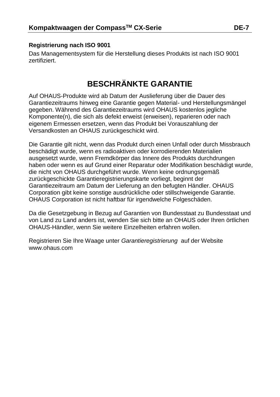#### **Registrierung nach ISO 9001**

Das Managementsystem für die Herstellung dieses Produkts ist nach ISO 9001 zertifiziert.

# **BESCHRÄNKTE GARANTIE**

Auf OHAUS-Produkte wird ab Datum der Auslieferung über die Dauer des Garantiezeitraums hinweg eine Garantie gegen Material- und Herstellungsmängel gegeben. Während des Garantiezeitraums wird OHAUS kostenlos jegliche Komponente(n), die sich als defekt erweist (erweisen), reparieren oder nach eigenem Ermessen ersetzen, wenn das Produkt bei Vorauszahlung der Versandkosten an OHAUS zurückgeschickt wird.

Die Garantie gilt nicht, wenn das Produkt durch einen Unfall oder durch Missbrauch beschädigt wurde, wenn es radioaktiven oder korrodierenden Materialien ausgesetzt wurde, wenn Fremdkörper das Innere des Produkts durchdrungen haben oder wenn es auf Grund einer Reparatur oder Modifikation beschädigt wurde, die nicht von OHAUS durchgeführt wurde. Wenn keine ordnungsgemäß zurückgeschickte Garantieregistrierungskarte vorliegt, beginnt der Garantiezeitraum am Datum der Lieferung an den befugten Händler. OHAUS Corporation gibt keine sonstige ausdrückliche oder stillschweigende Garantie. OHAUS Corporation ist nicht haftbar für irgendwelche Folgeschäden.

Da die Gesetzgebung in Bezug auf Garantien von Bundesstaat zu Bundesstaat und von Land zu Land anders ist, wenden Sie sich bitte an OHAUS oder Ihren örtlichen OHAUS-Händler, wenn Sie weitere Einzelheiten erfahren wollen.

Registrieren Sie Ihre Waage unter *Garantieregistrierung* auf der Website www.ohaus.com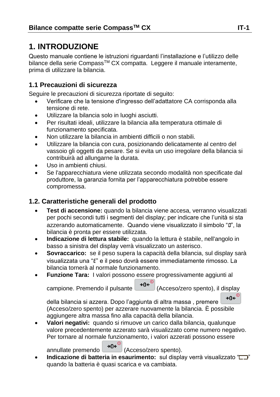# **1. INTRODUZIONE**

Questo manuale contiene le istruzioni riguardanti l'installazione e l'utilizzo delle bilance della serie Compass<sup>™</sup> CX compatta. Leggere il manuale interamente. prima di utilizzare la bilancia.

### **1.1 Precauzioni di sicurezza**

Seguire le precauzioni di sicurezza riportate di seguito:

- Verificare che la tensione d'ingresso dell'adattatore CA corrisponda alla tensione di rete.
- Utilizzare la bilancia solo in luoghi asciutti.
- Per risultati ideali, utilizzare la bilancia alla temperatura ottimale di funzionamento specificata.
- Non utilizzare la bilancia in ambienti difficili o non stabili.
- Utilizzare la bilancia con cura, posizionando delicatamente al centro del vassoio gli oggetti da pesare. Se si evita un uso irregolare della bilancia si contribuirà ad allungarne la durata.
- Uso in ambienti chiusi.
- Se l'apparecchiatura viene utilizzata secondo modalità non specificate dal produttore, la garanzia fornita per l'apparecchiatura potrebbe essere compromessa.

### **1.2. Caratteristiche generali del prodotto**

- **Test di accensione:** quando la bilancia viene accesa, verranno visualizzati per pochi secondi tutti i segmenti del display; per indicare che l'unità si sta azzerando automaticamente. Quando viene visualizzato il simbolo "0", la bilancia è pronta per essere utilizzata.
- **Indicazione di lettura stabile:** quando la lettura è stabile, nell'angolo in basso a sinistra del display verrà visualizzato un asterisco.
- **Sovraccarico:** se il peso supera la capacità della bilancia, sul display sarà visualizzata una "E" e il peso dovrà essere immediatamente rimosso. La bilancia tornerà al normale funzionamento.
- **Funzione Tara:** I valori possono essere progressivamente aggiunti al campione. Premendo il pulsante  $\rightarrow 0^{\infty}$  (Acceso/zero spento), il display

 $+0$  $\leftarrow$ <sup>0</sup>

della bilancia si azzera. Dopo l'aggiunta di altra massa , premere (Acceso/zero spento) per azzerare nuovamente la bilancia. È possibile aggiungere altra massa fino alla capacità della bilancia.

 **Valori negativi:** quando si rimuove un carico dalla bilancia, qualunque valore precedentemente azzerato sarà visualizzato come numero negativo. Per tornare al normale funzionamento, i valori azzerati possono essere

annullate premendo  $\rightarrow 0e^{i\theta}$  (Acceso/zero spento).

**Indicazione di batteria in esaurimento:** sul display verrà visualizzato " $\Box$ " quando la batteria è quasi scarica e va cambiata.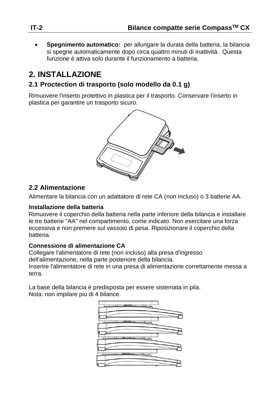**Spegnimento automatico:** per allungare la durata della batteria, la bilancia si spegne automaticamente dopo circa quattro minuti di inattività. Questa funzione è attiva solo durante il funzionamento a batteria.

# **2. INSTALLAZIONE**

### **2.1 Proctection di trasporto (solo modello da 0.1 g)**

Rimuovere l'inserto protettivo in plastica per il trasporto. Conservare l'inserto in plastica per garantire un trasporto sicuro.



### **2.2 Alimentazione**

Alimentare la bilancia con un adattatore di rete CA (non incluso) o 3 batterie AA.

#### **Installazione della batteria**

Rimuovere il coperchio della batteria nella parte inferiore della bilancia e installare le tre batterie "AA" nel compartimento, come indicato. Non esercitare una forza eccessiva e non premere sul vassoio di pesa. Riposizionare il coperchio della batteria.

#### **Connessione di alimentazione CA**

Collegare l'alimentatore di rete (non incluso) alla presa d'ingresso dell'alimentazione, nella parte posteriore della bilancia. Inserire l'alimentatore di rete in una presa di alimentazione correttamente messa a terra.

La base della bilancia è predisposta per essere sistemata in pila. Nota: non impilare più di 4 bilance.

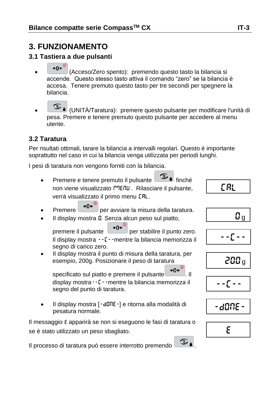# **3. FUNZIONAMENTO**

# **3.1 Tastiera a due pulsanti**

- ⊸∩⊷ (Acceso/Zero spento): premendo questo tasto la bilancia si accende. Questo stesso tasto attiva il comando "zero" se la bilancia è accesa. Tenere premuto questo tasto per tre secondi per spegnere la bilancia.
- (UNITÀ/Taratura): premere questo pulsante per modificare l'unità di pesa. Premere e tenere premuto questo pulsante per accedere al menu utente.

# **3.2 Taratura**

Per risultati ottimali, tarare la bilancia a intervalli regolari. Questo è importante soprattutto nel caso in cui la bilancia venga utilizzata per periodi lunghi.

I pesi di taratura non vengono forniti con la bilancia.

- Premere e tenere premuto il pulsante **function** finché non viene visualizzato MENU. Rilasciare il pulsante, verrà visualizzato il primo menu CRL.
- Premere  $\rightarrow 0^{\infty}$  per avviare la misura della taratura.
- Il display mostra **0**. Senza alcun peso sul piatto,

premere il pulsante  $\rightarrow 0 \leftarrow \infty$  per stabilire il punto zero. Il display mostra --C--mentre la bilancia memorizza il segno di carico zero.

 Il display mostra il punto di misura della taratura, per esempio, 200g. Posizionare il peso di taratura

specificato sul piatto e premere il pulsante  $\rightarrow 0$ <sup>C</sup> display mostra--C--mentre la bilancia memorizza il segno del punto di taratura.

Il display mostra [-dDnE-] e ritorna alla modalità di pesatura normale.

Il messaggio E apparirà se non si eseguono le fasi di taratura o se è stato utilizzato un peso sbagliato.

Il processo di taratura può essere interrotto premendo  $\circ$ i

$$
\boxed{\qquad \qquad \Box_g}
$$

CAL

$$
-2\sum_{i=1}^{n} \frac{1}{i} \sum_{i=1}^{n} \frac{1}{i} \sum_{i=1}^{n} \frac{1}{i} \sum_{i=1}^{n} \frac{1}{i} \sum_{i=1}^{n} \frac{1}{i} \sum_{i=1}^{n} \frac{1}{i} \sum_{i=1}^{n} \frac{1}{i} \sum_{i=1}^{n} \frac{1}{i} \sum_{i=1}^{n} \frac{1}{i} \sum_{i=1}^{n} \frac{1}{i} \sum_{i=1}^{n} \frac{1}{i} \sum_{i=1}^{n} \frac{1}{i} \sum_{i=1}^{n} \frac{1}{i} \sum_{i=1}^{n} \frac{1}{i} \sum_{i=1}^{n} \frac{1}{i} \sum_{i=1}^{n} \frac{1}{i} \sum_{i=1}^{n} \frac{1}{i} \sum_{i=1}^{n} \frac{1}{i} \sum_{i=1}^{n} \frac{1}{i} \sum_{i=1}^{n} \frac{1}{i} \sum_{i=1}^{n} \frac{1}{i} \sum_{i=1}^{n} \frac{1}{i} \sum_{i=1}^{n} \frac{1}{i} \sum_{i=1}^{n} \frac{1}{i} \sum_{i=1}^{n} \frac{1}{i} \sum_{i=1}^{n} \frac{1}{i} \sum_{i=1}^{n} \frac{1}{i} \sum_{i=1}^{n} \frac{1}{i} \sum_{i=1}^{n} \frac{1}{i} \sum_{i=1}^{n} \frac{1}{i} \sum_{i=1}^{n} \frac{1}{i} \sum_{i=1}^{n} \frac{1}{i} \sum_{i=1}^{n} \frac{1}{i} \sum_{i=1}^{n} \frac{1}{i} \sum_{i=1}^{n} \frac{1}{i} \sum_{i=1}^{n} \frac{1}{i} \sum_{i=1}^{n} \frac{1}{i} \sum_{i=1}^{n} \frac{1}{i} \sum_{i=1}^{n} \frac{1}{i} \sum_{i=1}^{n} \frac{1}{i} \sum_{i=1}^{n} \frac{1}{i} \sum_{i=1}^{n} \frac{1}{i} \sum_{i=1}^{n} \frac{1}{i} \sum_{i=1}^{n} \frac{1}{i} \sum_{i=1}^{n
$$

$$
200\,\mathrm{g}
$$

$$
\overline{\mathbb{L}}\left(\frac{1}{\epsilon}\right)=0
$$

$$
\text{-d}\mathfrak{M} \mathsf{E} \text{-}
$$

$$
\overline{\epsilon}
$$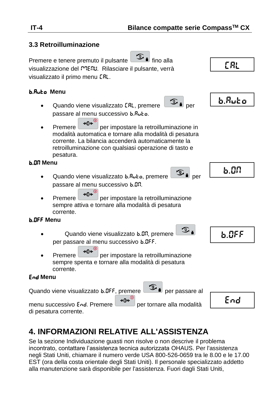#### **3.3 Retroilluminazione**

Premere e tenere premuto il pulsante il fino alla visualizzazione del <sup>po</sup>EnU. Rilasciare il pulsante, verrà visualizzato il primo menu CAL.

#### b.Auto **Menu**

- Quando viene visualizzato ERL, premere passare al menu successivo b.Ruto.
- Premere  $\bigoplus_{\theta}^{\infty}$  per impostare la retroilluminazione in modalità automatica e tornare alla modalità di pesatura corrente. La bilancia accenderà automaticamente la retroilluminazione con qualsiasi operazione di tasto e pesatura.

#### b.ON **Menu**

- Quando viene visualizzato b.Ruto, premere per i per passare al menu successivo b.ON.
- Premere  $\rightarrow 0^{\infty}$  per impostare la retroilluminazione sempre attiva e tornare alla modalità di pesatura corrente.

#### b.OFF **Menu**

- Quando viene visualizzato b.Dn, premere per passare al menu successivo b.OFF.
- Premere  $\rightarrow 0^{\left( \omega \right)}$  per impostare la retroilluminazione sempre spenta e tornare alla modalità di pesatura corrente.

#### End **Menu**

Quando viene visualizzato **b.** OFF, premere **per la per passare al** 

menu successivo End. Premere **+0<sup>e (0</sup>)** per tornare alla modalità di pesatura corrente.

# End

# **4. INFORMAZIONI RELATIVE ALL'ASSISTENZA**

Se la sezione Individuazione guasti non risolve o non descrive il problema incontrato, contattare l'assistenza tecnica autorizzata OHAUS. Per l'assistenza negli Stati Uniti, chiamare il numero verde USA 800-526-0659 tra le 8.00 e le 17.00 EST (ora della costa orientale degli Stati Uniti). Il personale specializzato addetto alla manutenzione sarà disponibile per l'assistenza. Fuori dagli Stati Uniti,



⊕.



CAL



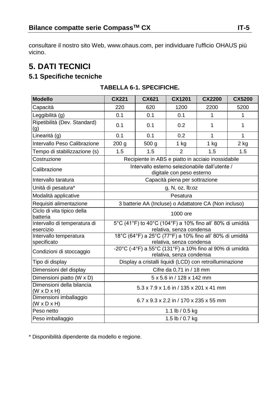consultare il nostro sito Web, www.ohaus.com, per individuare l'ufficio OHAUS più vicino.

# **5. DATI TECNICI**

# **5.1 Specifiche tecniche**

| <b>Modello</b>                                       | CX221                                                                                 | CX621 | CX1201                                 | <b>CX2200</b> | <b>CX5200</b> |  |
|------------------------------------------------------|---------------------------------------------------------------------------------------|-------|----------------------------------------|---------------|---------------|--|
| Capacità                                             | 220                                                                                   | 620   | 1200                                   | 2200          | 5200          |  |
| Leggibilità (g)                                      | 0.1                                                                                   | 0.1   | 0.1                                    | 1             | 1             |  |
| Ripetibilità (Dev. Standard)<br>(g)                  | 0.1                                                                                   | 0.1   | 0.2                                    | 1             | 1             |  |
| Linearità (g)                                        | 0.1                                                                                   | 0.1   | 0.2                                    | 1             | 1             |  |
| Intervallo Peso Calibrazione                         | 200 g                                                                                 | 500 g | $1$ kg                                 | $1$ kg        | 2 kg          |  |
| Tempo di stabilizzazione (s)                         | 1.5                                                                                   | 1.5   | $\mathfrak{p}$                         | 1.5           | 1.5           |  |
| Costruzione                                          | Recipiente in ABS e piatto in acciaio inossidabile                                    |       |                                        |               |               |  |
| Calibrazione                                         | Intervallo esterno selezionabile dall'utente /<br>digitale con peso esterno           |       |                                        |               |               |  |
| Intervallo taratura                                  | Capacità piena per sottrazione                                                        |       |                                        |               |               |  |
| Unità di pesatura*                                   | g, N, oz, lb:oz                                                                       |       |                                        |               |               |  |
| Modalità applicative                                 | Pesatura                                                                              |       |                                        |               |               |  |
| Requisiti alimentazione                              | 3 batterie AA (Incluse) o Adattatore CA (Non incluso)                                 |       |                                        |               |               |  |
| Ciclo di vita tipico della<br>batteria               | 1000 ore                                                                              |       |                                        |               |               |  |
| Intervallo di temperatura di<br>esercizio            | 5°C (41°F) to 40°C (104°F) a 10% fino all' 80% di umidità<br>relativa, senza condensa |       |                                        |               |               |  |
| Intervallo temperatura<br>specificato                | 18°C (64°F) a 25°C (77°F) a 10% fino all' 80% di umidità<br>relativa, senza condensa  |       |                                        |               |               |  |
| Condizioni di stoccaggio                             | -20°C (-4°F) a 55°C (131°F) a 10% fino al 90% di umidità<br>relativa, senza condensa  |       |                                        |               |               |  |
| Tipo di display                                      | Display a cristalli liquidi (LCD) con retroilluminazione                              |       |                                        |               |               |  |
| Dimensioni del display                               | Cifre da 0,71 in / 18 mm                                                              |       |                                        |               |               |  |
| Dimensioni piatto (W x D)                            | 5 x 5.6 in / 128 x 142 mm                                                             |       |                                        |               |               |  |
| Dimensioni della bilancia<br>$(W \times D \times H)$ | 5.3 x 7.9 x 1.6 in / 135 x 201 x 41 mm                                                |       |                                        |               |               |  |
| Dimensioni imballaggio<br>$(W \times D \times H)$    |                                                                                       |       | 6.7 x 9.3 x 2.2 in / 170 x 235 x 55 mm |               |               |  |
| Peso netto                                           | 1.1 lb / 0.5 kg                                                                       |       |                                        |               |               |  |
| Peso imballaggio                                     | 1.5 lb / 0.7 kg                                                                       |       |                                        |               |               |  |

#### **TABELLA 6-1. SPECIFICHE.**

\* Disponibilità dipendente da modello e regione.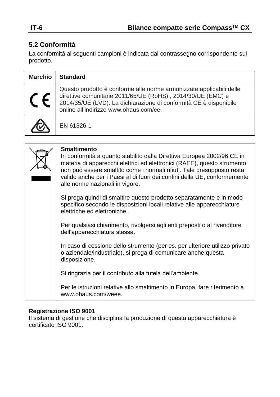# **5.2 Conformità**

La conformità ai seguenti campioni è indicata dal contrassegno corrispondente sul prodotto.

| <b>Marchio</b> | <b>Standard</b>                                                                                                                                                                                                                                   |
|----------------|---------------------------------------------------------------------------------------------------------------------------------------------------------------------------------------------------------------------------------------------------|
|                | Questo prodotto è conforme alle norme armonizzate applicabili delle<br>direttive comunitarie 2011/65/UE (RoHS), 2014/30/UE (EMC) e<br>2014/35/UE (LVD). La dichiarazione di conformità CE è disponibile<br>online all'indirizzo www.ohaus.com/ce. |
|                | EN 61326-1                                                                                                                                                                                                                                        |

| <b>Smaltimento</b><br>In conformità a quanto stabilito dalla Direttiva Europea 2002/96 CE in<br>materia di apparecchi elettrici ed elettronici (RAEE), questo strumento<br>non può essere smaltito come i normali rifiuti. Tale presupposto resta<br>valido anche per i Paesi al di fuori dei confini della UE, conformemente<br>alle norme nazionali in vigore. |
|------------------------------------------------------------------------------------------------------------------------------------------------------------------------------------------------------------------------------------------------------------------------------------------------------------------------------------------------------------------|
| Si prega quindi di smaltire questo prodotto separatamente e in modo<br>specifico secondo le disposizioni locali relative alle apparecchiature<br>elettriche ed elettroniche.                                                                                                                                                                                     |
| Per qualsiasi chiarimento, rivolgersi agli enti preposti o al rivenditore<br>dell'apparecchiatura stessa.                                                                                                                                                                                                                                                        |
| In caso di cessione dello strumento (per es. per ulteriore utilizzo privato<br>o aziendale/industriale), si prega di comunicare anche questa<br>disposizione.                                                                                                                                                                                                    |
| Si ringrazia per il contributo alla tutela dell'ambiente.                                                                                                                                                                                                                                                                                                        |
| Per le istruzioni relative allo smaltimento in Europa, fare riferimento a<br>www.ohaus.com/weee.                                                                                                                                                                                                                                                                 |

#### **Registrazione ISO 9001**

Il sistema di gestione che disciplina la produzione di questa apparecchiatura è certificato ISO 9001.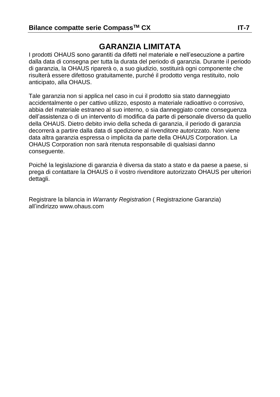# **GARANZIA LIMITATA**

I prodotti OHAUS sono garantiti da difetti nel materiale e nell'esecuzione a partire dalla data di consegna per tutta la durata del periodo di garanzia. Durante il periodo di garanzia, la OHAUS riparerà o, a suo giudizio, sostituirà ogni componente che risulterà essere difettoso gratuitamente, purché il prodotto venga restituito, nolo anticipato, alla OHAUS.

Tale garanzia non si applica nel caso in cui il prodotto sia stato danneggiato accidentalmente o per cattivo utilizzo, esposto a materiale radioattivo o corrosivo, abbia del materiale estraneo al suo interno, o sia danneggiato come conseguenza dell'assistenza o di un intervento di modifica da parte di personale diverso da quello della OHAUS. Dietro debito invio della scheda di garanzia, il periodo di garanzia decorrerà a partire dalla data di spedizione al rivenditore autorizzato. Non viene data altra garanzia espressa o implicita da parte della OHAUS Corporation. La OHAUS Corporation non sarà ritenuta responsabile di qualsiasi danno conseguente.

Poiché la legislazione di garanzia è diversa da stato a stato e da paese a paese, si prega di contattare la OHAUS o il vostro rivenditore autorizzato OHAUS per ulteriori dettagli.

Registrare la bilancia in *Warranty Registration* ( Registrazione Garanzia) all'indirizzo www.ohaus.com